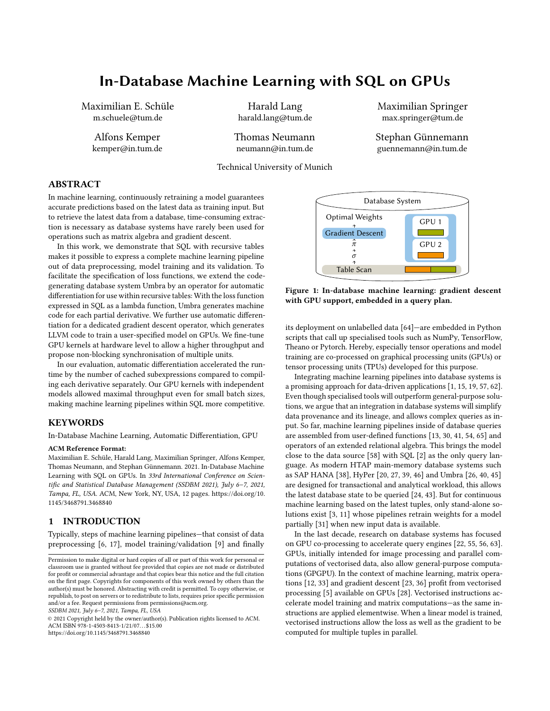# In-Database Machine Learning with SQL on GPUs

Maximilian E. Schüle m.schuele@tum.de

> Alfons Kemper kemper@in.tum.de

Harald Lang harald.lang@tum.de

Thomas Neumann neumann@in.tum.de

Technical University of Munich

Maximilian Springer max.springer@tum.de

Stephan Günnemann guennemann@in.tum.de

# ABSTRACT

In machine learning, continuously retraining a model guarantees accurate predictions based on the latest data as training input. But to retrieve the latest data from a database, time-consuming extraction is necessary as database systems have rarely been used for operations such as matrix algebra and gradient descent.

In this work, we demonstrate that SQL with recursive tables makes it possible to express a complete machine learning pipeline out of data preprocessing, model training and its validation. To facilitate the specification of loss functions, we extend the codegenerating database system Umbra by an operator for automatic differentiation for use within recursive tables: With the loss function expressed in SQL as a lambda function, Umbra generates machine code for each partial derivative. We further use automatic differentiation for a dedicated gradient descent operator, which generates LLVM code to train a user-specified model on GPUs. We fine-tune GPU kernels at hardware level to allow a higher throughput and propose non-blocking synchronisation of multiple units.

In our evaluation, automatic differentiation accelerated the runtime by the number of cached subexpressions compared to compiling each derivative separately. Our GPU kernels with independent models allowed maximal throughput even for small batch sizes, making machine learning pipelines within SQL more competitive.

## KEYWORDS

In-Database Machine Learning, Automatic Differentiation, GPU

#### ACM Reference Format:

Maximilian E. Schüle, Harald Lang, Maximilian Springer, Alfons Kemper, Thomas Neumann, and Stephan Günnemann. 2021. In-Database Machine Learning with SQL on GPUs. In 33rd International Conference on Scientific and Statistical Database Management (SSDBM 2021), July 6–7, 2021, Tampa, FL, USA. ACM, New York, NY, USA, [12](#page-11-0) pages. [https://doi.org/10.](https://doi.org/10.1145/3468791.3468840) [1145/3468791.3468840](https://doi.org/10.1145/3468791.3468840)

## 1 INTRODUCTION

Typically, steps of machine learning pipelines—that consist of data preprocessing [\[6,](#page-11-1) [17\]](#page-11-2), model training/validation [\[9\]](#page-11-3) and finally

SSDBM 2021, July 6–7, 2021, Tampa, FL, USA

© 2021 Copyright held by the owner/author(s). Publication rights licensed to ACM. ACM ISBN 978-1-4503-8413-1/21/07. . . \$15.00 <https://doi.org/10.1145/3468791.3468840>

<span id="page-0-0"></span>

Figure 1: In-database machine learning: gradient descent with GPU support, embedded in a query plan.

its deployment on unlabelled data [\[64\]](#page-11-4)—are embedded in Python scripts that call up specialised tools such as NumPy, TensorFlow, Theano or Pytorch. Hereby, especially tensor operations and model training are co-processed on graphical processing units (GPUs) or tensor processing units (TPUs) developed for this purpose.

Integrating machine learning pipelines into database systems is a promising approach for data-driven applications [\[1,](#page-11-5) [15,](#page-11-6) [19,](#page-11-7) [57,](#page-11-8) [62\]](#page-11-9). Even though specialised tools will outperform general-purpose solutions, we argue that an integration in database systems will simplify data provenance and its lineage, and allows complex queries as input. So far, machine learning pipelines inside of database queries are assembled from user-defined functions [\[13,](#page-11-10) [30,](#page-11-11) [41,](#page-11-12) [54,](#page-11-13) [65\]](#page-11-14) and operators of an extended relational algebra. This brings the model close to the data source [\[58\]](#page-11-15) with SQL [\[2\]](#page-11-16) as the only query language. As modern HTAP main-memory database systems such as SAP HANA [\[38\]](#page-11-17), HyPer [\[20,](#page-11-18) [27,](#page-11-19) [39,](#page-11-20) [46\]](#page-11-21) and Umbra [\[26,](#page-11-22) [40,](#page-11-23) [45\]](#page-11-24) are designed for transactional and analytical workload, this allows the latest database state to be queried [\[24,](#page-11-25) [43\]](#page-11-26). But for continuous machine learning based on the latest tuples, only stand-alone solutions exist [\[3,](#page-11-27) [11\]](#page-11-28) whose pipelines retrain weights for a model partially [\[31\]](#page-11-29) when new input data is available.

In the last decade, research on database systems has focused on GPU co-processing to accelerate query engines [\[22,](#page-11-30) [55,](#page-11-31) [56,](#page-11-32) [63\]](#page-11-33). GPUs, initially intended for image processing and parallel computations of vectorised data, also allow general-purpose computations (GPGPU). In the context of machine learning, matrix operations [\[12,](#page-11-34) [33\]](#page-11-35) and gradient descent [\[23,](#page-11-36) [36\]](#page-11-37) profit from vectorised processing [\[5\]](#page-11-38) available on GPUs [\[28\]](#page-11-39). Vectorised instructions accelerate model training and matrix computations—as the same instructions are applied elementwise. When a linear model is trained, vectorised instructions allow the loss as well as the gradient to be computed for multiple tuples in parallel.

Permission to make digital or hard copies of all or part of this work for personal or classroom use is granted without fee provided that copies are not made or distributed for profit or commercial advantage and that copies bear this notice and the full citation on the first page. Copyrights for components of this work owned by others than the author(s) must be honored. Abstracting with credit is permitted. To copy otherwise, or republish, to post on servers or to redistribute to lists, requires prior specific permission and/or a fee. Request permissions from permissions@acm.org.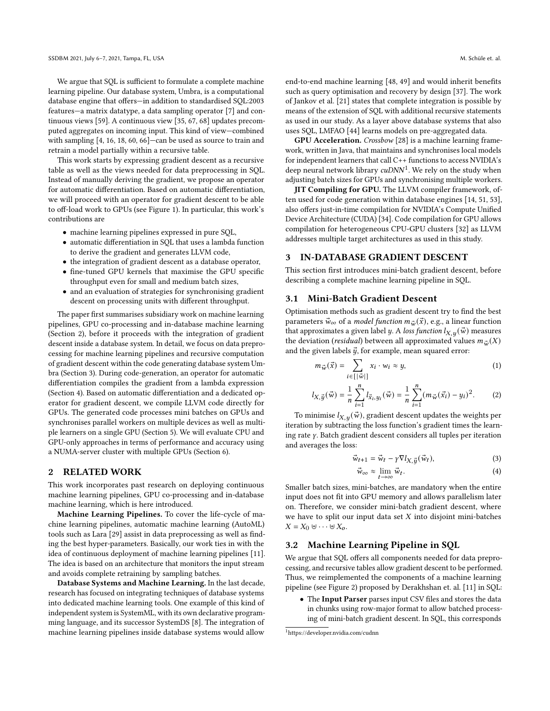We argue that SQL is sufficient to formulate a complete machine learning pipeline. Our database system, Umbra, is a computational database engine that offers—in addition to standardised SQL:2003 features—a matrix datatype, a data sampling operator [\[7\]](#page-11-40) and continuous views [\[59\]](#page-11-41). A continuous view [\[35,](#page-11-42) [67,](#page-11-43) [68\]](#page-11-44) updates precomputed aggregates on incoming input. This kind of view—combined with sampling [\[4,](#page-11-45) [16,](#page-11-46) [18,](#page-11-47) [60,](#page-11-48) [66\]](#page-11-49)—can be used as source to train and retrain a model partially within a recursive table.

This work starts by expressing gradient descent as a recursive table as well as the views needed for data preprocessing in SQL. Instead of manually deriving the gradient, we propose an operator for automatic differentiation. Based on automatic differentiation, we will proceed with an operator for gradient descent to be able to off-load work to GPUs (see [Figure 1\)](#page-0-0). In particular, this work's contributions are

- machine learning pipelines expressed in pure SQL,
- automatic differentiation in SQL that uses a lambda function to derive the gradient and generates LLVM code,
- the integration of gradient descent as a database operator,
- fine-tuned GPU kernels that maximise the GPU specific throughput even for small and medium batch sizes,
- and an evaluation of strategies for synchronising gradient descent on processing units with different throughput.

The paper first summarises subsidiary work on machine learning pipelines, GPU co-processing and in-database machine learning (Section [2\)](#page-1-0), before it proceeds with the integration of gradient descent inside a database system. In detail, we focus on data preprocessing for machine learning pipelines and recursive computation of gradient descent within the code generating database system Umbra (Section [3\)](#page-1-1). During code-generation, an operator for automatic differentiation compiles the gradient from a lambda expression (Section [4\)](#page-2-0). Based on automatic differentiation and a dedicated operator for gradient descent, we compile LLVM code directly for GPUs. The generated code processes mini batches on GPUs and synchronises parallel workers on multiple devices as well as multiple learners on a single GPU (Section [5\)](#page-4-0). We will evaluate CPU and GPU-only approaches in terms of performance and accuracy using a NUMA-server cluster with multiple GPUs (Section [6\)](#page-7-0).

#### <span id="page-1-0"></span>2 RELATED WORK

This work incorporates past research on deploying continuous machine learning pipelines, GPU co-processing and in-database machine learning, which is here introduced.

Machine Learning Pipelines. To cover the life-cycle of machine learning pipelines, automatic machine learning (AutoML) tools such as Lara [\[29\]](#page-11-50) assist in data preprocessing as well as finding the best hyper-parameters. Basically, our work ties in with the idea of continuous deployment of machine learning pipelines [\[11\]](#page-11-28). The idea is based on an architecture that monitors the input stream and avoids complete retraining by sampling batches.

Database Systems and Machine Learning. In the last decade, research has focused on integrating techniques of database systems into dedicated machine learning tools. One example of this kind of independent system is SystemML, with its own declarative programming language, and its successor SystemDS [\[8\]](#page-11-51). The integration of machine learning pipelines inside database systems would allow

end-to-end machine learning [\[48,](#page-11-52) [49\]](#page-11-53) and would inherit benefits such as query optimisation and recovery by design [\[37\]](#page-11-54). The work of Jankov et al. [\[21\]](#page-11-55) states that complete integration is possible by means of the extension of SQL with additional recursive statements as used in our study. As a layer above database systems that also uses SQL, LMFAO [\[44\]](#page-11-56) learns models on pre-aggregated data.

GPU Acceleration. Crossbow [\[28\]](#page-11-39) is a machine learning framework, written in Java, that maintains and synchronises local models for independent learners that call C++ functions to access NVIDIA's deep neural network library  $\text{cuDNN}^1$  $\text{cuDNN}^1$ . We rely on the study when adjusting batch sizes for GPUs and synchronising multiple workers.

JIT Compiling for GPU. The LLVM compiler framework, often used for code generation within database engines [\[14,](#page-11-57) [51,](#page-11-58) [53\]](#page-11-59), also offers just-in-time compilation for NVIDIA's Compute Unified Device Architecture (CUDA) [\[34\]](#page-11-60). Code compilation for GPU allows compilation for heterogeneous CPU-GPU clusters [\[32\]](#page-11-61) as LLVM addresses multiple target architectures as used in this study.

# <span id="page-1-1"></span>3 IN-DATABASE GRADIENT DESCENT

This section first introduces mini-batch gradient descent, before describing a complete machine learning pipeline in SQL.

# 3.1 Mini-Batch Gradient Descent

Optimisation methods such as gradient descent try to find the best parameters  $\vec{w}_{\infty}$  of a *model function*  $m_{\vec{w}}(\vec{x})$ , e.g., a linear function that approximates a given label y. A loss function  $l_{X,y}(\vec{w})$  measures the deviation (*residual*) between all approximated values  $m_{\vec{w}}(X)$ and the given labels  $\vec{y}$ , for example, mean squared error:

$$
m_{\vec{w}}(\vec{x}) = \sum_{i \in [|\vec{w}|]} x_i \cdot w_i \approx y,\tag{1}
$$

$$
l_{X,\vec{y}}(\vec{w}) = \frac{1}{n} \sum_{i=1}^{n} l_{\vec{x}_i, y_i}(\vec{w}) = \frac{1}{n} \sum_{i=1}^{n} (m_{\vec{w}}(\vec{x}_i) - y_i)^2.
$$
 (2)

To minimise  $l_{X,u}(\vec{w})$ , gradient descent updates the weights per iteration by subtracting the loss function's gradient times the learning rate  $\gamma$ . Batch gradient descent considers all tuples per iteration and averages the loss:

$$
\vec{w}_{t+1} = \vec{w}_t - \gamma \nabla l_{X, \vec{y}}(\vec{w}_t), \tag{3}
$$

$$
\vec{w}_{\infty} \approx \lim_{t \to \infty} \vec{w}_t.
$$
 (4)

Smaller batch sizes, mini-batches, are mandatory when the entire input does not fit into GPU memory and allows parallelism later on. Therefore, we consider mini-batch gradient descent, where we have to split our input data set  $X$  into disjoint mini-batches  $X = X_0 \uplus \cdots \uplus X_o.$ 

# 3.2 Machine Learning Pipeline in SQL

We argue that SQL offers all components needed for data preprocessing, and recursive tables allow gradient descent to be performed. Thus, we reimplemented the components of a machine learning pipeline (see [Figure 2\)](#page-3-0) proposed by Derakhshan et. al. [\[11\]](#page-11-28) in SQL:

• The Input Parser parses input CSV files and stores the data in chunks using row-major format to allow batched processing of mini-batch gradient descent. In SQL, this corresponds

<span id="page-1-2"></span><sup>1</sup><https://developer.nvidia.com/cudnn>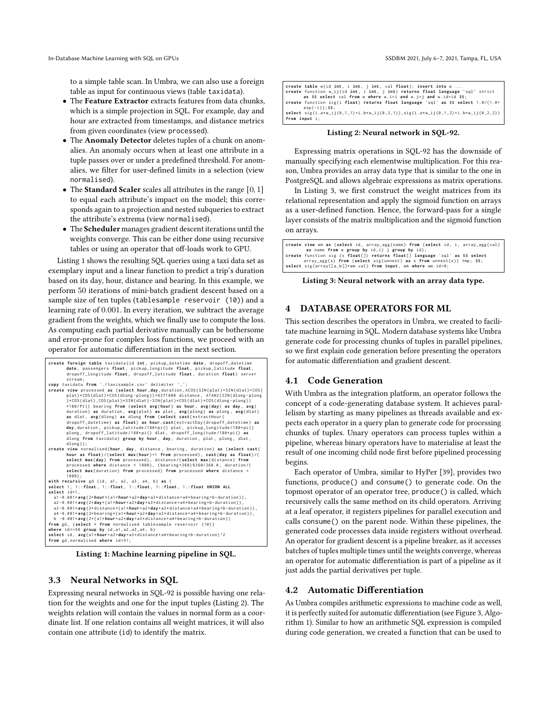to a simple table scan. In Umbra, we can also use a foreign table as input for continuous views (table taxidata).

- The Feature Extractor extracts features from data chunks, which is a simple projection in SQL. For example, day and hour are extracted from timestamps, and distance metrics from given coordinates (view processed).
- The Anomaly Detector deletes tuples of a chunk on anomalies. An anomaly occurs when at least one attribute in a tuple passes over or under a predefined threshold. For anomalies, we filter for user-defined limits in a selection (view normalised).
- The **Standard Scaler** scales all attributes in the range  $[0, 1]$ to equal each attribute's impact on the model; this corresponds again to a projection and nested subqueries to extract the attribute's extrema (view normalised).
- The Scheduler manages gradient descent iterations until the weights converge. This can be either done using recursive tables or using an operator that off-loads work to GPU.

[Listing 1](#page-2-1) shows the resulting SQL queries using a taxi data set as exemplary input and a linear function to predict a trip's duration based on its day, hour, distance and bearing. In this example, we perform 50 iterations of mini-batch gradient descent based on a sample size of ten tuples (tablesample reservoir (10)) and a learning rate of 0.001. In every iteration, we subtract the average gradient from the weights, which we finally use to compute the loss. As computing each partial derivative manually can be bothersome and error-prone for complex loss functions, we proceed with an operator for automatic differentiation in the next section.

```
create foreign table taxidata ( id int , pickup_datetime date , dropoff_datetime
              date , passengers float , pickup_longitude float , pickup_latitude float ,
dropoff_longitude float , dropoff_latitude float , duration float ) server
             stream ;
copy taxidata from './taxisample.csv' delimiter ',
 create view processed as (select hour,day,duration,ACOS(SIN(plat)*SIN(dlat)+COS(<br>plat)*COS(dlat)*COS(dlong-plong<br>>*COS(dlat),COS(plat)*SIN(dlat)-SIN(plat)*COS(dlat)*COS(dlong-plong<br>>*COS(dlat)*COS(dlat)+COS(dlat)=SIN(
              *l80/PI() bearing from (select avg(hour) as hour, avg(day) as day, avg(<br>duration) as duration, avg(plat) as plat, avg(plong) as plong, avg(dlat)<br>as dlat, avg(dlong) as dlong from (select cast(extrac
              day,duration, pickup_latitude/180*pi() plat, pickup_longitude/180*pi()<br>plong, dropoff_latitude/180*pi() dlat, dropoff_longitude/180*pi() as<br>dlong from taxidata) group by hour, day, duration, plat, plong, dlat,
             dlong ) ) ;
create view normalised (hour , day , distance , bearing , duration ) as ( select cast (
              hour as float)/(select max(hour)+1 from processed), cast(day as float)/(<br>select max(day) from processed), distance/(select max(distance) from<br>processed where distance < 1000), (bearing+360)%360/360.0, duration/(
             select max ( duration ) from processed ) from processed where distance of
             1000) ;
 with recursive gd ( id , a1 , a2 , a3 , a4 , b ) as (
select 1 , 1:: float , 1:: float , 1:: float , 1:: float , 1:: float UNION ALL
select id +1.
     a1-0.001*avg(2*hour*(a1*hour+a2*day+a3*distance+a4*bearing+b-duration)),<br>a2-0.001*avg(2*day*(a1*hour+a2*day+a3*distance+a4*bearing+b-duration)),
   a3 -0.001* avg (2* distance *( a1 * hour + a2 * day + a3 * distance + a4 * bearing +b - duration ) ) ,
 a4-0.001*avg(2*bearing*(a1*hour+a2*day+a3*distance+a4*bearing+b-duration)),<br>b -0.001*avg(2*(a1*hour+a2*day+a3*distance+a4*bearing+b-duration))<br>from gd, (select * from normalised tablesample reservoir (10))
where id <=50 group by id , a1 , a2 , a3 , a4 , b )
 select id , avg ( a1 * hour + a2 * day + a3 * distance + a4 * bearing +b - duration ) ^2
from gd , normalised where id =51;
```
Listing 1: Machine learning pipeline in SQL.

# 3.3 Neural Networks in SQL

Expressing neural networks in SQL-92 is possible having one relation for the weights and one for the input tuples [\(Listing 2\)](#page-2-2). The weights relation will contain the values in normal form as a coordinate list. If one relation contains all weight matrices, it will also contain one attribute (id) to identify the matrix.

<span id="page-2-2"></span>

| create table w(id int, i int, j int, val float); insert into w                         |
|----------------------------------------------------------------------------------------|
| create function w_ij(id int, i int, j int) returns float language 'sql' strict         |
| as \$\$ select val from w where w.i=i and w.j=j and w.id=id \$\$;                      |
| create function sig(i float) returns float language 'sql' as \$\$ select 1.0/(1.0+     |
| $\exp(-i)$ : \$\$:                                                                     |
| select $sig(i.a*w_ij(0,1,1)+i.b*w_ij(0,2,1))$ , $sig(i.a*w_ij(0,1,2)+i.b*w_ij(0,2,2))$ |
| from input i;                                                                          |

#### Listing 2: Neural network in SQL-92.

Expressing matrix operations in SQL-92 has the downside of manually specifying each elementwise multiplication. For this reason, Umbra provides an array data type that is similar to the one in PostgreSQL and allows algebraic expressions as matrix operations.

In [Listing 3,](#page-2-3) we first construct the weight matrices from its relational representation and apply the sigmoid function on arrays as a user-defined function. Hence, the forward-pass for a single layer consists of the matrix multiplication and the sigmoid function on arrays.

```
create view wm as ( select id , array_agg ( name ) from ( select id , i , array_agg ( val )
as name from w group by id,i) j group by id);<br>create function sig (x float[]) returns float[] language 'sql' as $$ select<br>array_agg(s) from (select sig(unnest) as s from unnest(x)) tmp; $$;
select sig(array[[a,b]]*wm.val) from input, wm where wm.id=0;
```
#### Listing 3: Neural network with an array data type.

# <span id="page-2-0"></span>4 DATABASE OPERATORS FOR ML

This section describes the operators in Umbra, we created to facilitate machine learning in SQL. Modern database systems like Umbra generate code for processing chunks of tuples in parallel pipelines, so we first explain code generation before presenting the operators for automatic differentiation and gradient descent.

# 4.1 Code Generation

With Umbra as the integration platform, an operator follows the concept of a code-generating database system. It achieves parallelism by starting as many pipelines as threads available and expects each operator in a query plan to generate code for processing chunks of tuples. Unary operators can process tuples within a pipeline, whereas binary operators have to materialise at least the result of one incoming child node first before pipelined processing begins.

Each operator of Umbra, similar to HyPer [\[39\]](#page-11-20), provides two functions, produce() and consume() to generate code. On the topmost operator of an operator tree, produce() is called, which recursively calls the same method on its child operators. Arriving at a leaf operator, it registers pipelines for parallel execution and calls consume() on the parent node. Within these pipelines, the generated code processes data inside registers without overhead. An operator for gradient descent is a pipeline breaker, as it accesses batches of tuples multiple times until the weights converge, whereas an operator for automatic differentiation is part of a pipeline as it just adds the partial derivatives per tuple.

# 4.2 Automatic Differentiation

As Umbra compiles arithmetic expressions to machine code as well, it is perfectly suited for automatic differentiation (see [Figure 3,](#page-3-1) Algorithm [1\)](#page-3-2). Similar to how an arithmetic SQL expression is compiled during code generation, we created a function that can be used to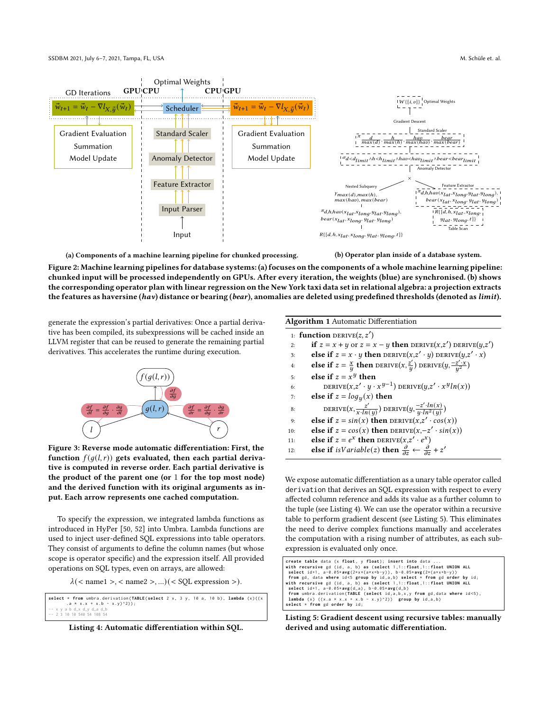<span id="page-3-0"></span>

(a) Components of a machine learning pipeline for chunked processing.

(b) Operator plan inside of a database system.

Figure 2: Machine learning pipelines for database systems: (a) focuses on the components of a whole machine learning pipeline: chunked input will be processed independently on GPUs. After every iteration, the weights (blue) are synchronised. (b) shows the corresponding operator plan with linear regression on the New York taxi data set in relational algebra: a projection extracts the features as haversine (hav) distance or bearing (bear), anomalies are deleted using predefined thresholds (denoted as limit).

generate the expression's partial derivatives: Once a partial derivative has been compiled, its subexpressions will be cached inside an LLVM register that can be reused to generate the remaining partial derivatives. This accelerates the runtime during execution.

<span id="page-3-1"></span>

Figure 3: Reverse mode automatic differentiation: First, the function  $f(g(l, r))$  gets evaluated, then each partial derivative is computed in reverse order. Each partial derivative is the product of the parent one (or 1 for the top most node) and the derived function with its original arguments as input. Each arrow represents one cached computation.

To specify the expression, we integrated lambda functions as introduced in HyPer [\[50,](#page-11-62) [52\]](#page-11-63) into Umbra. Lambda functions are used to inject user-defined SQL expressions into table operators. They consist of arguments to define the column names (but whose scope is operator specific) and the expression itself. All provided operations on SQL types, even on arrays, are allowed:

 $\lambda$  (< name1 >, < name2 >, ...) (< SQL expression >).

<span id="page-3-3"></span>**select** \* **from** umbra . derivation ( **TABLE** ( **select** 2 x , 3 y , 10 a , 10 b ) , **lambda** ( x ) (( x \*  $x . x + x . b - x . y$   $^2$ ) ; -- x y a b d\_x d\_y d\_a d\_b -- 2 3 10 10 540 54 108 54

Listing 4: Automatic differentiation within SQL.

|    | 1: function DERIVE $(z, z')$                                                                    |
|----|-------------------------------------------------------------------------------------------------|
| 2: | if $z = x + y$ or $z = x - y$ then DERIVE $(x, z')$ DERIVE $(y, z')$                            |
| 3: | else if $z = x \cdot y$ then DERIVE $(x, z' \cdot y)$ DERIVE $(y, z' \cdot x)$                  |
| 4: | else if $z = \frac{x}{y}$ then DERIVE $(x, \frac{z'}{y})$ DERIVE $(y, \frac{-z' \cdot x}{y^2})$ |
| 5: | else if $z = x^y$ then                                                                          |
| 6: | DERIVE $(x,z' \cdot y \cdot x^{y-1})$ DERIVE $(y,z' \cdot x^y ln(x))$                           |
|    |                                                                                                 |

7: **else** if  $z = log<sub>u</sub>(x)$  then

<span id="page-3-2"></span>Algorithm 1 Automatic Differentiation

- 8: DERIVE $(x, \frac{z'}{x \cdot ln(y)})$  DERIVE $(y, \frac{-z' \cdot ln(x)}{y \cdot ln^2(y)})$  $\frac{-z'\cdot ln(x)}{y\cdot ln^2(y)}$
- 9: **else if**  $z = sin(x)$  then DERIVE $(x, z' \cdot cos(x))$
- 10: **else if**  $z = cos(x)$  then DERIVE $(x, -z' \cdot sin(x))$
- 11: **else if**  $z = e^x$  then DERIVE $(x, z' \cdot e^x)$
- 12: **else if**  $isVariable(z)$  then  $\frac{\partial}{\partial z} \leftarrow \frac{\partial}{\partial z} + z'$

We expose automatic differentiation as a unary table operator called derivation that derives an SQL expression with respect to every affected column reference and adds its value as a further column to the tuple (see [Listing 4\)](#page-3-3). We can use the operator within a recursive table to perform gradient descent (see [Listing 5\)](#page-3-4). This eliminates the need to derive complex functions manually and accelerates the computation with a rising number of attributes, as each subexpression is evaluated only once.

```
create table data (x float), y float); insert into data ...<br>with recursive gd (id, a, b) as (select 1,1::float,1::float UNION ALL<br>select id+1, a=0.05*awg(2*x*(a*x*b-y)), b-0.05*awg(2*(a*x*b-y))<br>from gd, data where id<5` g
lambda (x) ((x.a * x.x + x.b - x.y)^2)) group by id,a,b) select * from gd order by id;
```
Listing 5: Gradient descent using recursive tables: manually derived and using automatic differentiation.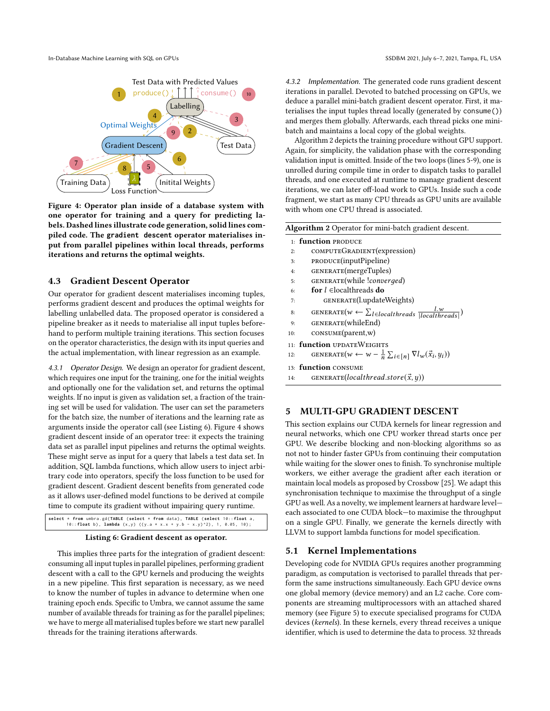In-Database Machine Learning with SQL on GPUs SSDBM 2021, July 6-7, 2021, Tampa, FL, USA

<span id="page-4-2"></span>

Figure 4: Operator plan inside of a database system with one operator for training and a query for predicting labels. Dashed lines illustrate code generation, solid lines compiled code. The **gradient descent** operator materialises input from parallel pipelines within local threads, performs iterations and returns the optimal weights.

# 4.3 Gradient Descent Operator

Our operator for gradient descent materialises incoming tuples, performs gradient descent and produces the optimal weights for labelling unlabelled data. The proposed operator is considered a pipeline breaker as it needs to materialise all input tuples beforehand to perform multiple training iterations. This section focuses on the operator characteristics, the design with its input queries and the actual implementation, with linear regression as an example.

4.3.1 Operator Design. We design an operator for gradient descent, which requires one input for the training, one for the initial weights and optionally one for the validation set, and returns the optimal weights. If no input is given as validation set, a fraction of the training set will be used for validation. The user can set the parameters for the batch size, the number of iterations and the learning rate as arguments inside the operator call (see [Listing 6\)](#page-4-1). [Figure 4](#page-4-2) shows gradient descent inside of an operator tree: it expects the training data set as parallel input pipelines and returns the optimal weights. These might serve as input for a query that labels a test data set. In addition, SQL lambda functions, which allow users to inject arbitrary code into operators, specify the loss function to be used for gradient descent. Gradient descent benefits from generated code as it allows user-defined model functions to be derived at compile time to compute its gradient without impairing query runtime.

```
select * from umbra.gd(TABLE (select * from data), TABLE (select 10::float a,<br>10::float b), lambda (x,y) ((y.a * x.x + y.b - x.y)^2), 1, 0.05, 10);
```
#### Listing 6: Gradient descent as operator.

This implies three parts for the integration of gradient descent: consuming all input tuples in parallel pipelines, performing gradient descent with a call to the GPU kernels and producing the weights in a new pipeline. This first separation is necessary, as we need to know the number of tuples in advance to determine when one training epoch ends. Specific to Umbra, we cannot assume the same number of available threads for training as for the parallel pipelines; we have to merge all materialised tuples before we start new parallel threads for the training iterations afterwards.

4.3.2 Implementation. The generated code runs gradient descent iterations in parallel. Devoted to batched processing on GPUs, we deduce a parallel mini-batch gradient descent operator. First, it materialises the input tuples thread locally (generated by consume()) and merges them globally. Afterwards, each thread picks one minibatch and maintains a local copy of the global weights.

Algorithm [2](#page-4-3) depicts the training procedure without GPU support. Again, for simplicity, the validation phase with the corresponding validation input is omitted. Inside of the two loops (lines 5-9), one is unrolled during compile time in order to dispatch tasks to parallel threads, and one executed at runtime to manage gradient descent iterations, we can later off-load work to GPUs. Inside such a code fragment, we start as many CPU threads as GPU units are available with whom one CPU thread is associated.

#### <span id="page-4-3"></span>Algorithm 2 Operator for mini-batch gradient descent.

- 1: function PRODUCE
- 2: COMPUTEGRADIENT(expression)
- 3: PRODUCE(inputPipeline)
- 4: generate(mergeTuples)
- 5: GENERATE(while !converged)
- 6: for  $l \in$  local threads do
- 7: generate(l.updateWeights)
- 8: GENERATE $(w \leftarrow \sum_{l \in localthreads} \frac{l.w}{|localthreads|})$
- 9: generate(whileEnd)
- 10: consume(parent,w)
- 11: function UPDATEWEIGHTS
- 12: GENERATE $(w \leftarrow w \frac{1}{n} \sum_{i \in [n]} \nabla l_w(\vec{x}_i, y_i))$
- 13: function consume
- 14: GENERATE(*localthread.store* $(\vec{x}, y)$ )

# <span id="page-4-0"></span>5 MULTI-GPU GRADIENT DESCENT

This section explains our CUDA kernels for linear regression and neural networks, which one CPU worker thread starts once per GPU. We describe blocking and non-blocking algorithms so as not not to hinder faster GPUs from continuing their computation while waiting for the slower ones to finish. To synchronise multiple workers, we either average the gradient after each iteration or maintain local models as proposed by Crossbow [\[25\]](#page-11-64). We adapt this synchronisation technique to maximise the throughput of a single GPU as well. As a novelty, we implement learners at hardware level each associated to one CUDA block—to maximise the throughput on a single GPU. Finally, we generate the kernels directly with LLVM to support lambda functions for model specification.

#### 5.1 Kernel Implementations

Developing code for NVIDIA GPUs requires another programming paradigm, as computation is vectorised to parallel threads that perform the same instructions simultaneously. Each GPU device owns one global memory (device memory) and an L2 cache. Core components are streaming multiprocessors with an attached shared memory (see [Figure 5\)](#page-5-0) to execute specialised programs for CUDA devices (kernels). In these kernels, every thread receives a unique identifier, which is used to determine the data to process. 32 threads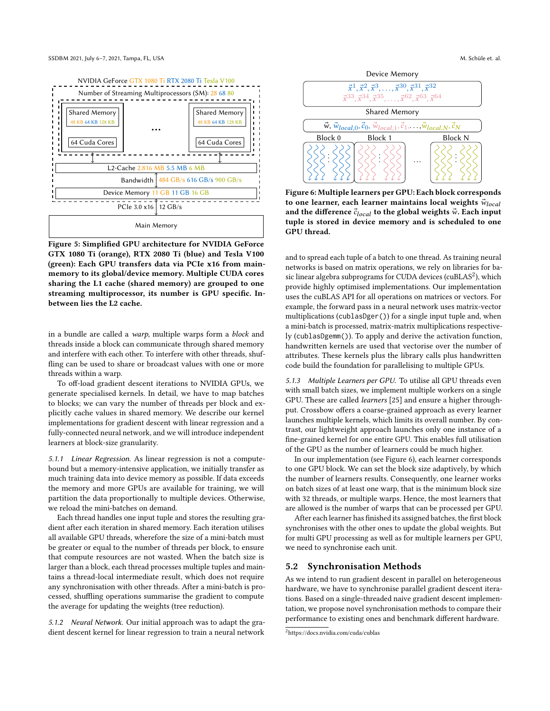<span id="page-5-0"></span>

Figure 5: Simplified GPU architecture for NVIDIA GeForce GTX 1080 Ti (orange), RTX 2080 Ti (blue) and Tesla V100 (green): Each GPU transfers data via PCIe x16 from mainmemory to its global/device memory. Multiple CUDA cores sharing the L1 cache (shared memory) are grouped to one streaming multiprocessor, its number is GPU specific. Inbetween lies the L2 cache.

in a bundle are called a warp, multiple warps form a block and threads inside a block can communicate through shared memory and interfere with each other. To interfere with other threads, shuffling can be used to share or broadcast values with one or more threads within a warp.

To off-load gradient descent iterations to NVIDIA GPUs, we generate specialised kernels. In detail, we have to map batches to blocks; we can vary the number of threads per block and explicitly cache values in shared memory. We describe our kernel implementations for gradient descent with linear regression and a fully-connected neural network, and we will introduce independent learners at block-size granularity.

5.1.1 Linear Regression. As linear regression is not a computebound but a memory-intensive application, we initially transfer as much training data into device memory as possible. If data exceeds the memory and more GPUs are available for training, we will partition the data proportionally to multiple devices. Otherwise, we reload the mini-batches on demand.

Each thread handles one input tuple and stores the resulting gradient after each iteration in shared memory. Each iteration utilises all available GPU threads, wherefore the size of a mini-batch must be greater or equal to the number of threads per block, to ensure that compute resources are not wasted. When the batch size is larger than a block, each thread processes multiple tuples and maintains a thread-local intermediate result, which does not require any synchronisation with other threads. After a mini-batch is processed, shuffling operations summarise the gradient to compute the average for updating the weights (tree reduction).

5.1.2 Neural Network. Our initial approach was to adapt the gradient descent kernel for linear regression to train a neural network



<span id="page-5-2"></span>

Figure 6: Multiple learners per GPU: Each block corresponds to one learner, each learner maintains local weights  $\vec{w}_{local}$ and the difference  $\vec{c}_{local}$  to the global weights  $\vec{w}$ . Each input tuple is stored in device memory and is scheduled to one GPU thread.

and to spread each tuple of a batch to one thread. As training neural networks is based on matrix operations, we rely on libraries for ba-sic linear algebra subprograms for CUDA devices (cuBLAS<sup>[2](#page-5-1)</sup>), which provide highly optimised implementations. Our implementation uses the cuBLAS API for all operations on matrices or vectors. For example, the forward pass in a neural network uses matrix-vector multiplications (cublasDger()) for a single input tuple and, when a mini-batch is processed, matrix-matrix multiplications respectively (cublasDgemm()). To apply and derive the activation function, handwritten kernels are used that vectorise over the number of attributes. These kernels plus the library calls plus handwritten code build the foundation for parallelising to multiple GPUs.

5.1.3 Multiple Learners per GPU. To utilise all GPU threads even with small batch sizes, we implement multiple workers on a single GPU. These are called learners [\[25\]](#page-11-64) and ensure a higher throughput. Crossbow offers a coarse-grained approach as every learner launches multiple kernels, which limits its overall number. By contrast, our lightweight approach launches only one instance of a fine-grained kernel for one entire GPU. This enables full utilisation of the GPU as the number of learners could be much higher.

In our implementation (see [Figure 6\)](#page-5-2), each learner corresponds to one GPU block. We can set the block size adaptively, by which the number of learners results. Consequently, one learner works on batch sizes of at least one warp, that is the minimum block size with 32 threads, or multiple warps. Hence, the most learners that are allowed is the number of warps that can be processed per GPU.

After each learner has finished its assigned batches, the first block synchronises with the other ones to update the global weights. But for multi GPU processing as well as for multiple learners per GPU, we need to synchronise each unit.

## 5.2 Synchronisation Methods

As we intend to run gradient descent in parallel on heterogeneous hardware, we have to synchronise parallel gradient descent iterations. Based on a single-threaded naive gradient descent implementation, we propose novel synchronisation methods to compare their performance to existing ones and benchmark different hardware.

<span id="page-5-1"></span><sup>2</sup><https://docs.nvidia.com/cuda/cublas>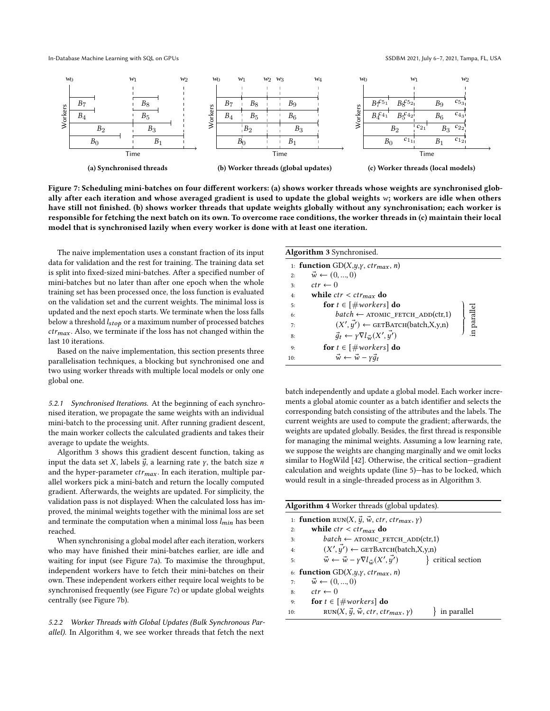In-Database Machine Learning with SQL on GPUs SSDBM 2021, July 6-7, 2021, Tampa, FL, USA

<span id="page-6-1"></span>

Figure 7: Scheduling mini-batches on four different workers: (a) shows worker threads whose weights are synchronised globally after each iteration and whose averaged gradient is used to update the global weights  $w$ ; workers are idle when others have still not finished. (b) shows worker threads that update weights globally without any synchronisation; each worker is responsible for fetching the next batch on its own. To overcome race conditions, the worker threads in (c) maintain their local model that is synchronised lazily when every worker is done with at least one iteration.

The naive implementation uses a constant fraction of its input data for validation and the rest for training. The training data set is split into fixed-sized mini-batches. After a specified number of mini-batches but no later than after one epoch when the whole training set has been processed once, the loss function is evaluated on the validation set and the current weights. The minimal loss is updated and the next epoch starts. We terminate when the loss falls below a threshold  $l_{stop}$  or a maximum number of processed batches  $ctr_{max}$ . Also, we terminate if the loss has not changed within the last 10 iterations.

Based on the naive implementation, this section presents three parallelisation techniques, a blocking but synchronised one and two using worker threads with multiple local models or only one global one.

5.2.1 Synchronised Iterations. At the beginning of each synchronised iteration, we propagate the same weights with an individual mini-batch to the processing unit. After running gradient descent, the main worker collects the calculated gradients and takes their average to update the weights.

Algorithm [3](#page-6-0) shows this gradient descent function, taking as input the data set X, labels  $\vec{y}$ , a learning rate  $\gamma$ , the batch size *n* and the hyper-parameter  $ctr_{max}$ . In each iteration, multiple parallel workers pick a mini-batch and return the locally computed gradient. Afterwards, the weights are updated. For simplicity, the validation pass is not displayed: When the calculated loss has improved, the minimal weights together with the minimal loss are set and terminate the computation when a minimal loss  $l_{min}$  has been reached.

When synchronising a global model after each iteration, workers who may have finished their mini-batches earlier, are idle and waiting for input (see [Figure 7a\)](#page-6-1). To maximise the throughput, independent workers have to fetch their mini-batches on their own. These independent workers either require local weights to be synchronised frequently (see [Figure 7c\)](#page-6-1) or update global weights centrally (see [Figure 7b\)](#page-6-1).

5.2.2 Worker Threads with Global Updates (Bulk Synchronous Parallel). In Algorithm [4,](#page-6-2) we see worker threads that fetch the next

<span id="page-6-0"></span>

|     | Algorithm 3 Synchronised.                                      |             |  |  |  |  |
|-----|----------------------------------------------------------------|-------------|--|--|--|--|
|     | 1: function $GD(X, y, y, ctr_{max}, n)$                        |             |  |  |  |  |
| 2:  | $\vec{w} \leftarrow (0, , 0)$                                  |             |  |  |  |  |
| 3:  | $ctr \leftarrow 0$                                             |             |  |  |  |  |
| 4:  | while $ctr < c$ tr <sub>max</sub> do                           |             |  |  |  |  |
| 5:  | for $t \in [\text{\# workers}]$ do                             |             |  |  |  |  |
| 6:  | $batch \leftarrow$ ATOMIC_FETCH_ADD(ctr,1)                     |             |  |  |  |  |
| 7:  | $(X', \vec{y'}) \leftarrow$ GETBATCH(batch,X,y,n)              | in parallel |  |  |  |  |
| 8:  | $\vec{q}_t \leftarrow \gamma \nabla l_{\vec{w}}(X', \vec{y'})$ |             |  |  |  |  |
| 9:  | for $t \in [\text{\#works}]$ do                                |             |  |  |  |  |
| 10: | $\vec{w} \leftarrow \vec{w} - \gamma \vec{q}_t$                |             |  |  |  |  |

batch independently and update a global model. Each worker increments a global atomic counter as a batch identifier and selects the corresponding batch consisting of the attributes and the labels. The current weights are used to compute the gradient; afterwards, the weights are updated globally. Besides, the first thread is responsible for managing the minimal weights. Assuming a low learning rate, we suppose the weights are changing marginally and we omit locks similar to HogWild [\[42\]](#page-11-65). Otherwise, the critical section—gradient calculation and weights update (line 5)—has to be locked, which would result in a single-threaded process as in Algorithm [3.](#page-6-0)

<span id="page-6-2"></span>

| <b>Algorithm 4</b> Worker threads (global updates).                                             |                                                                        |                  |  |  |  |  |
|-------------------------------------------------------------------------------------------------|------------------------------------------------------------------------|------------------|--|--|--|--|
| 1: <b>function</b> RUN( <i>X</i> , $\vec{y}$ , $\vec{w}$ , ctr, ctr <sub>max</sub> , $\gamma$ ) |                                                                        |                  |  |  |  |  |
| 2:                                                                                              | while $ctr < c$ tr <sub>max</sub> do                                   |                  |  |  |  |  |
| 3:                                                                                              | $batch \leftarrow$ ATOMIC FETCH ADD(ctr,1)                             |                  |  |  |  |  |
| 4:                                                                                              | $(X', \vec{y'}) \leftarrow$ GETBATCH(batch,X,y,n)                      |                  |  |  |  |  |
| 5:                                                                                              | $\vec{w} \leftarrow \vec{w} - \gamma \nabla l_{\vec{w}}(X', \vec{y'})$ | critical section |  |  |  |  |
| 6: function $GD(X, y, y, ctr_{max}, n)$                                                         |                                                                        |                  |  |  |  |  |
| 7:                                                                                              | $\vec{w} \leftarrow (0, , 0)$                                          |                  |  |  |  |  |
| 8:                                                                                              | $ctr \leftarrow 0$                                                     |                  |  |  |  |  |
| 9:                                                                                              | for $t \in [\text{\#works}]$ do                                        |                  |  |  |  |  |
| 10:                                                                                             | RUN(X, $\vec{y}$ , $\vec{w}$ , ctr, ctr <sub>max</sub> , $\gamma$ )    | in parallel      |  |  |  |  |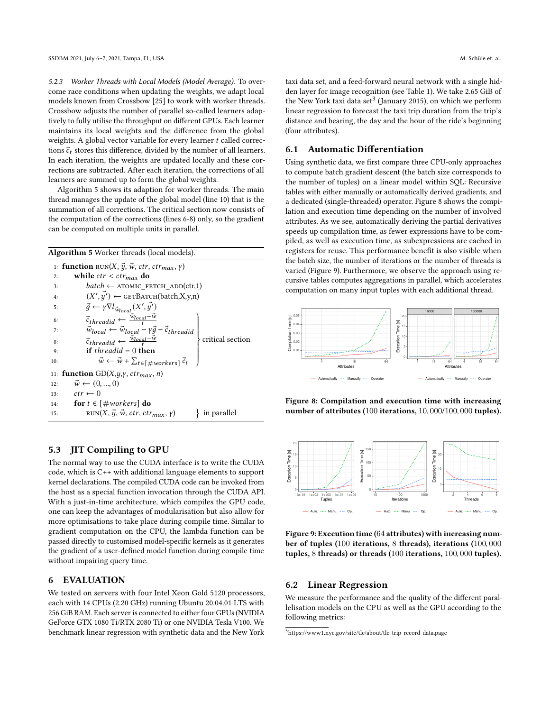5.2.3 Worker Threads with Local Models (Model Average). To overcome race conditions when updating the weights, we adapt local models known from Crossbow [\[25\]](#page-11-64) to work with worker threads. Crossbow adjusts the number of parallel so-called learners adaptively to fully utilise the throughput on different GPUs. Each learner maintains its local weights and the difference from the global weights. A global vector variable for every learner  $t$  called corrections  $\vec{c}_t$  stores this difference, divided by the number of all learners. In each iteration, the weights are updated locally and these corrections are subtracted. After each iteration, the corrections of all learners are summed up to form the global weights.

Algorithm [5](#page-7-1) shows its adaption for worker threads. The main thread manages the update of the global model (line 10) that is the summation of all corrections. The critical section now consists of the computation of the corrections (lines 6-8) only, so the gradient can be computed on multiple units in parallel.

<span id="page-7-1"></span>

| <b>Algorithm 5</b> Worker threads (local models).  |                                                                                                                                                                                      |  |  |  |  |  |
|----------------------------------------------------|--------------------------------------------------------------------------------------------------------------------------------------------------------------------------------------|--|--|--|--|--|
|                                                    | 1: <b>function</b> RUN(X, $\vec{y}$ , $\vec{w}$ , ctr, ctr <sub>max</sub> , y)                                                                                                       |  |  |  |  |  |
| 2:                                                 | while $ctr < c$ tr <sub>max</sub> do                                                                                                                                                 |  |  |  |  |  |
| 3:                                                 | $batch \leftarrow$ ATOMIC FETCH ADD(ctr,1)                                                                                                                                           |  |  |  |  |  |
| 4:                                                 | $(X', \overline{y'}) \leftarrow$ GETBATCH(batch, X, y, n)                                                                                                                            |  |  |  |  |  |
| 5:                                                 | $\vec{g} \leftarrow \gamma \nabla l_{\vec{w}_{local}}(X', \vec{y'})$                                                                                                                 |  |  |  |  |  |
| 6:                                                 | $\vec{c}_{threadid} \leftarrow \frac{\vec{w}_{local} - \vec{w}}{t}$                                                                                                                  |  |  |  |  |  |
| 7:                                                 | $\begin{array}{l} \vec{w}_{local} \leftarrow \vec{w}_{local} - \gamma \vec{g} - \vec{c}_{threadid} \\ \vec{c}_{threadid} \leftarrow \frac{\vec{w}_{local} - \vec{w}}{t} \end{array}$ |  |  |  |  |  |
| 8:                                                 | critical section                                                                                                                                                                     |  |  |  |  |  |
| 9:                                                 | <b>if</b> threadid $= 0$ then                                                                                                                                                        |  |  |  |  |  |
| 10:                                                | $\vec{w} \leftarrow \vec{w} + \sum_{t \in [\# workers]} \vec{c}_t$                                                                                                                   |  |  |  |  |  |
| function $GD(X, y, y, \text{ctr}_{max}, n)$<br>11: |                                                                                                                                                                                      |  |  |  |  |  |
| 12:                                                | $\vec{w} \leftarrow (0, , 0)$                                                                                                                                                        |  |  |  |  |  |
| 13:                                                | $ctr \leftarrow 0$                                                                                                                                                                   |  |  |  |  |  |
|                                                    | for $t \in [\text{\#works}]$ do<br>14:                                                                                                                                               |  |  |  |  |  |
| 15:                                                | $RUN(X, \vec{y}, \vec{w}, ctr, ctr_{max}, \gamma)$<br>in parallel                                                                                                                    |  |  |  |  |  |

# 5.3 JIT Compiling to GPU

The normal way to use the CUDA interface is to write the CUDA code, which is C++ with additional language elements to support kernel declarations. The compiled CUDA code can be invoked from the host as a special function invocation through the CUDA API. With a just-in-time architecture, which compiles the GPU code, one can keep the advantages of modularisation but also allow for more optimisations to take place during compile time. Similar to gradient computation on the CPU, the lambda function can be passed directly to customised model-specific kernels as it generates the gradient of a user-defined model function during compile time without impairing query time.

# <span id="page-7-0"></span>6 EVALUATION

We tested on servers with four Intel Xeon Gold 5120 processors, each with 14 CPUs (2.20 GHz) running Ubuntu 20.04.01 LTS with 256 GiB RAM. Each server is connected to either four GPUs (NVIDIA GeForce GTX 1080 Ti/RTX 2080 Ti) or one NVIDIA Tesla V100. We benchmark linear regression with synthetic data and the New York

taxi data set, and a feed-forward neural network with a single hidden layer for image recognition (see [Table 1\)](#page-8-0). We take 2.65 GiB of the New York taxi data set<sup>[3](#page-7-2)</sup> (January 2015), on which we perform linear regression to forecast the taxi trip duration from the trip's distance and bearing, the day and the hour of the ride's beginning (four attributes).

# 6.1 Automatic Differentiation

Using synthetic data, we first compare three CPU-only approaches to compute batch gradient descent (the batch size corresponds to the number of tuples) on a linear model within SQL: Recursive tables with either manually or automatically derived gradients, and a dedicated (single-threaded) operator. [Figure 8](#page-7-3) shows the compilation and execution time depending on the number of involved attributes. As we see, automatically deriving the partial derivatives speeds up compilation time, as fewer expressions have to be compiled, as well as execution time, as subexpressions are cached in registers for reuse. This performance benefit is also visible when the batch size, the number of iterations or the number of threads is varied [\(Figure 9\)](#page-7-4). Furthermore, we observe the approach using recursive tables computes aggregations in parallel, which accelerates computation on many input tuples with each additional thread.

<span id="page-7-3"></span>

Figure 8: Compilation and execution time with increasing number of attributes (100 iterations, 10, 000/100, 000 tuples).

<span id="page-7-4"></span>

Figure 9: Execution time (64 attributes) with increasing number of tuples (100 iterations, 8 threads), iterations (100, 000 tuples, 8 threads) or threads (100 iterations, 100, 000 tuples).

# 6.2 Linear Regression

We measure the performance and the quality of the different parallelisation models on the CPU as well as the GPU according to the following metrics:

<span id="page-7-2"></span><sup>3</sup><https://www1.nyc.gov/site/tlc/about/tlc-trip-record-data.page>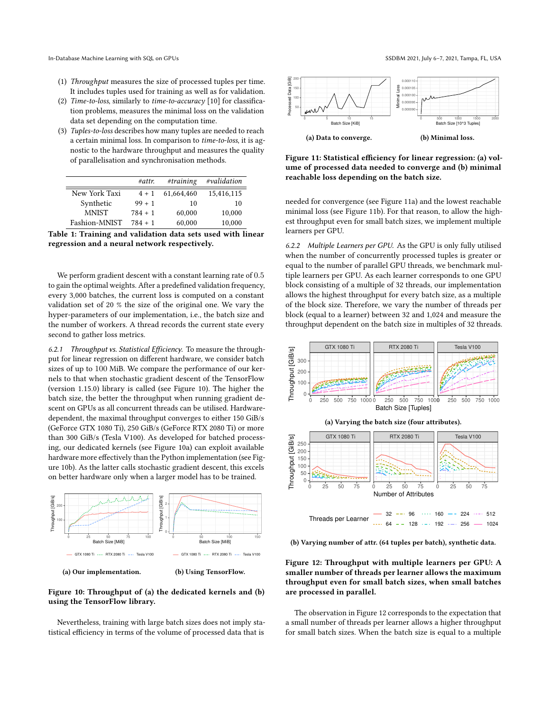- (1) Throughput measures the size of processed tuples per time. It includes tuples used for training as well as for validation.
- (2) Time-to-loss, similarly to time-to-accuracy [\[10\]](#page-11-66) for classification problems, measures the minimal loss on the validation data set depending on the computation time.
- (3) Tuples-to-loss describes how many tuples are needed to reach a certain minimal loss. In comparison to time-to-loss, it is agnostic to the hardware throughput and measures the quality of parallelisation and synchronisation methods.

<span id="page-8-0"></span>

|               | #attr.    | #training  | #validation |
|---------------|-----------|------------|-------------|
| New York Taxi | $4 + 1$   | 61.664.460 | 15,416,115  |
| Synthetic     | $99 + 1$  | 10         | 10          |
| <b>MNIST</b>  | $784 + 1$ | 60,000     | 10.000      |
| Fashion-MNIST | $784 + 1$ | 60.000     | 10.000      |



We perform gradient descent with a constant learning rate of 0.5 to gain the optimal weights. After a predefined validation frequency, every 3,000 batches, the current loss is computed on a constant validation set of 20 % the size of the original one. We vary the hyper-parameters of our implementation, i.e., the batch size and the number of workers. A thread records the current state every second to gather loss metrics.

6.2.1 Throughput vs. Statistical Efficiency. To measure the throughput for linear regression on different hardware, we consider batch sizes of up to 100 MiB. We compare the performance of our kernels to that when stochastic gradient descent of the TensorFlow (version 1.15.0) library is called (see [Figure 10\)](#page-8-1). The higher the batch size, the better the throughput when running gradient descent on GPUs as all concurrent threads can be utilised. Hardwaredependent, the maximal throughput converges to either 150 GiB/s (GeForce GTX 1080 Ti), 250 GiB/s (GeForce RTX 2080 Ti) or more than 300 GiB/s (Tesla V100). As developed for batched processing, our dedicated kernels (see [Figure 10a\)](#page-8-1) can exploit available hardware more effectively than the Python implementation (see [Fig](#page-8-1)[ure 10b\)](#page-8-1). As the latter calls stochastic gradient descent, this excels on better hardware only when a larger model has to be trained.

<span id="page-8-1"></span>

(a) Our implementation.

(b) Using TensorFlow.

## Figure 10: Throughput of (a) the dedicated kernels and (b) using the TensorFlow library.

Nevertheless, training with large batch sizes does not imply statistical efficiency in terms of the volume of processed data that is

<span id="page-8-2"></span>

Figure 11: Statistical efficiency for linear regression: (a) volume of processed data needed to converge and (b) minimal reachable loss depending on the batch size.

needed for convergence (see [Figure 11a\)](#page-8-2) and the lowest reachable minimal loss (see [Figure 11b\)](#page-8-2). For that reason, to allow the highest throughput even for small batch sizes, we implement multiple learners per GPU.

6.2.2 Multiple Learners per GPU. As the GPU is only fully utilised when the number of concurrently processed tuples is greater or equal to the number of parallel GPU threads, we benchmark multiple learners per GPU. As each learner corresponds to one GPU block consisting of a multiple of 32 threads, our implementation allows the highest throughput for every batch size, as a multiple of the block size. Therefore, we vary the number of threads per block (equal to a learner) between 32 and 1,024 and measure the throughput dependent on the batch size in multiples of 32 threads.

<span id="page-8-3"></span>

(b) Varying number of attr. (64 tuples per batch), synthetic data.

Figure 12: Throughput with multiple learners per GPU: A smaller number of threads per learner allows the maximum throughput even for small batch sizes, when small batches are processed in parallel.

The observation in [Figure 12](#page-8-3) corresponds to the expectation that a small number of threads per learner allows a higher throughput for small batch sizes. When the batch size is equal to a multiple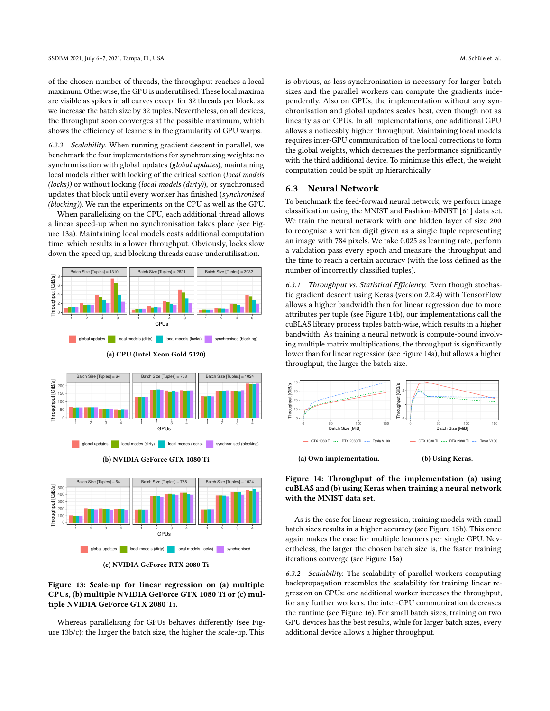of the chosen number of threads, the throughput reaches a local maximum. Otherwise, the GPU is underutilised. These local maxima are visible as spikes in all curves except for 32 threads per block, as we increase the batch size by 32 tuples. Nevertheless, on all devices, the throughput soon converges at the possible maximum, which shows the efficiency of learners in the granularity of GPU warps.

6.2.3 Scalability. When running gradient descent in parallel, we benchmark the four implementations for synchronising weights: no synchronisation with global updates (global updates), maintaining local models either with locking of the critical section (local models  $(locks)$ ) or without locking (local models (dirty)), or synchronised updates that block until every worker has finished (synchronised (blocking)). We ran the experiments on the CPU as well as the GPU.

When parallelising on the CPU, each additional thread allows a linear speed-up when no synchronisation takes place (see [Fig](#page-9-0)[ure 13a\)](#page-9-0). Maintaining local models costs additional computation time, which results in a lower throughput. Obviously, locks slow down the speed up, and blocking threads cause underutilisation.

<span id="page-9-0"></span>



(b) NVIDIA GeForce GTX 1080 Ti



(c) NVIDIA GeForce RTX 2080 Ti

# Figure 13: Scale-up for linear regression on (a) multiple CPUs, (b) multiple NVIDIA GeForce GTX 1080 Ti or (c) multiple NVIDIA GeForce GTX 2080 Ti.

Whereas parallelising for GPUs behaves differently (see [Fig](#page-9-0)[ure 13b/c\)](#page-9-0): the larger the batch size, the higher the scale-up. This

is obvious, as less synchronisation is necessary for larger batch sizes and the parallel workers can compute the gradients independently. Also on GPUs, the implementation without any synchronisation and global updates scales best, even though not as linearly as on CPUs. In all implementations, one additional GPU allows a noticeably higher throughput. Maintaining local models requires inter-GPU communication of the local corrections to form the global weights, which decreases the performance significantly with the third additional device. To minimise this effect, the weight computation could be split up hierarchically.

#### 6.3 Neural Network

To benchmark the feed-forward neural network, we perform image classification using the MNIST and Fashion-MNIST [\[61\]](#page-11-67) data set. We train the neural network with one hidden layer of size 200 to recognise a written digit given as a single tuple representing an image with 784 pixels. We take 0.025 as learning rate, perform a validation pass every epoch and measure the throughput and the time to reach a certain accuracy (with the loss defined as the number of incorrectly classified tuples).

6.3.1 Throughput vs. Statistical Efficiency. Even though stochastic gradient descent using Keras (version 2.2.4) with TensorFlow allows a higher bandwidth than for linear regression due to more attributes per tuple (see [Figure 14b\)](#page-9-1), our implementations call the cuBLAS library process tuples batch-wise, which results in a higher bandwidth. As training a neural network is compute-bound involving multiple matrix multiplications, the throughput is significantly lower than for linear regression (see [Figure 14a\)](#page-9-1), but allows a higher throughput, the larger the batch size.

<span id="page-9-1"></span>

# Figure 14: Throughput of the implementation (a) using cuBLAS and (b) using Keras when training a neural network with the MNIST data set.

As is the case for linear regression, training models with small batch sizes results in a higher accuracy (see [Figure 15b\)](#page-10-0). This once again makes the case for multiple learners per single GPU. Nevertheless, the larger the chosen batch size is, the faster training iterations converge (see [Figure 15a\)](#page-10-0).

6.3.2 Scalability. The scalability of parallel workers computing backpropagation resembles the scalability for training linear regression on GPUs: one additional worker increases the throughput, for any further workers, the inter-GPU communication decreases the runtime (see [Figure 16\)](#page-10-1). For small batch sizes, training on two GPU devices has the best results, while for larger batch sizes, every additional device allows a higher throughput.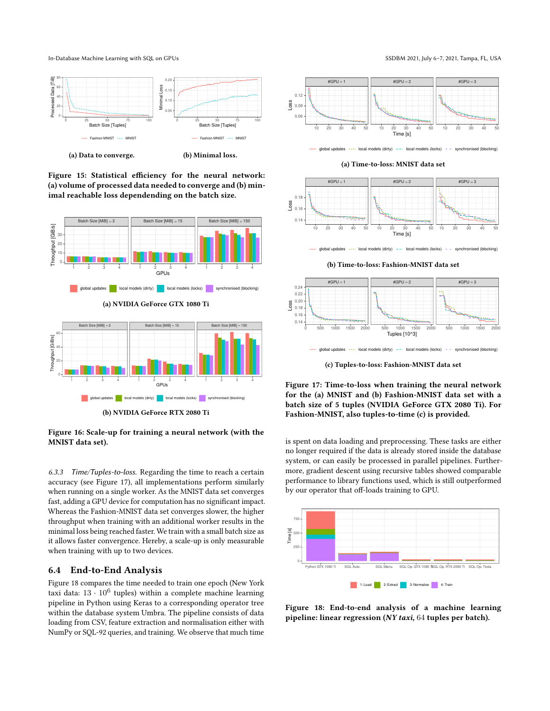In-Database Machine Learning with SQL on GPUs SSDBM 2021, July 6-7, 2021, Tampa, FL, USA

<span id="page-10-0"></span>

(a) Data to converge.

(b) Minimal loss.

Figure 15: Statistical efficiency for the neural network: (a) volume of processed data needed to converge and (b) minimal reachable loss dependending on the batch size.

<span id="page-10-1"></span>

Figure 16: Scale-up for training a neural network (with the MNIST data set).

6.3.3 Time/Tuples-to-loss. Regarding the time to reach a certain accuracy (see [Figure 17\)](#page-10-2), all implementations perform similarly when running on a single worker. As the MNIST data set converges fast, adding a GPU device for computation has no significant impact. Whereas the Fashion-MNIST data set converges slower, the higher throughput when training with an additional worker results in the minimal loss being reached faster. We train with a small batch size as it allows faster convergence. Hereby, a scale-up is only measurable when training with up to two devices.

#### 6.4 End-to-End Analysis

[Figure 18](#page-10-3) compares the time needed to train one epoch (New York taxi data:  $13 \cdot 10^6$  tuples) within a complete machine learning pipeline in Python using Keras to a corresponding operator tree within the database system Umbra. The pipeline consists of data loading from CSV, feature extraction and normalisation either with NumPy or SQL-92 queries, and training. We observe that much time

<span id="page-10-2"></span>

global updates  $\cdots$  local models (dirty)  $\cdots$  local models (locks)  $\cdots$  synchronised (blocking

(a) Time-to-loss: MNIST data set



global updates  $\cdots$  local models (dirty)  $\cdots$  local models (locks)  $\cdots$  synchronised (blocking)

(b) Time-to-loss: Fashion-MNIST data set



(c) Tuples-to-loss: Fashion-MNIST data set

Figure 17: Time-to-loss when training the neural network for the (a) MNIST and (b) Fashion-MNIST data set with a batch size of 5 tuples (NVIDIA GeForce GTX 2080 Ti). For Fashion-MNIST, also tuples-to-time (c) is provided.

is spent on data loading and preprocessing. These tasks are either no longer required if the data is already stored inside the database system, or can easily be processed in parallel pipelines. Furthermore, gradient descent using recursive tables showed comparable performance to library functions used, which is still outperformed by our operator that off-loads training to GPU.

<span id="page-10-3"></span>

Figure 18: End-to-end analysis of a machine learning pipeline: linear regression (NY taxi, 64 tuples per batch).